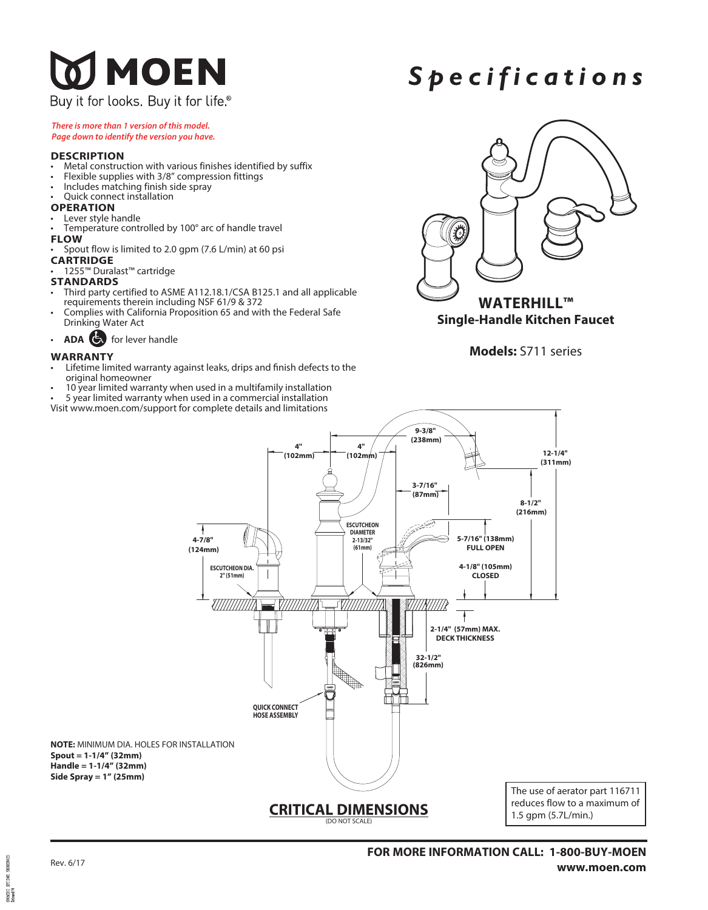## **DI MOEN** Buy it for looks. Buy it for life<sup>®</sup>

# *Spec i f i c a tions*

*There is more than 1 version of this model. Page down to identify the version you have.*

#### **DESCRIPTION**

- Metal construction with various finishes identified by suffix
- Flexible supplies with 3/8" compression fittings
- Includes matching finish side spray
- Quick connect installation

## **OPERATION**<br>• Lever style handle

- 
- Temperature controlled by 100° arc of handle travel

#### **FLOW**

• Spout flow is limited to 2.0 gpm (7.6 L/min) at 60 psi

#### **CARTRIDGE**

• 1255™ Duralast™ cartridge

#### **STANDARDS**

- Third party certified to ASME A112.18.1/CSA B125.1 and all applicable requirements therein including NSF 61/9 & 372
- Complies with California Proposition 65 and with the Federal Safe Drinking Water Act
- **ADA** for lever handle

#### **WARRANTY**

- Lifetime limited warranty against leaks, drips and finish defects to the original homeowner
- 10 year limited warranty when used in a multifamily installation
- 5 year limited warranty when used in a commercial installation
- Visit www.moen.com/support for complete details and limitations



### **Models:** S711 series



2000029412 **PCIERE** 1916/2017<br>Referand 04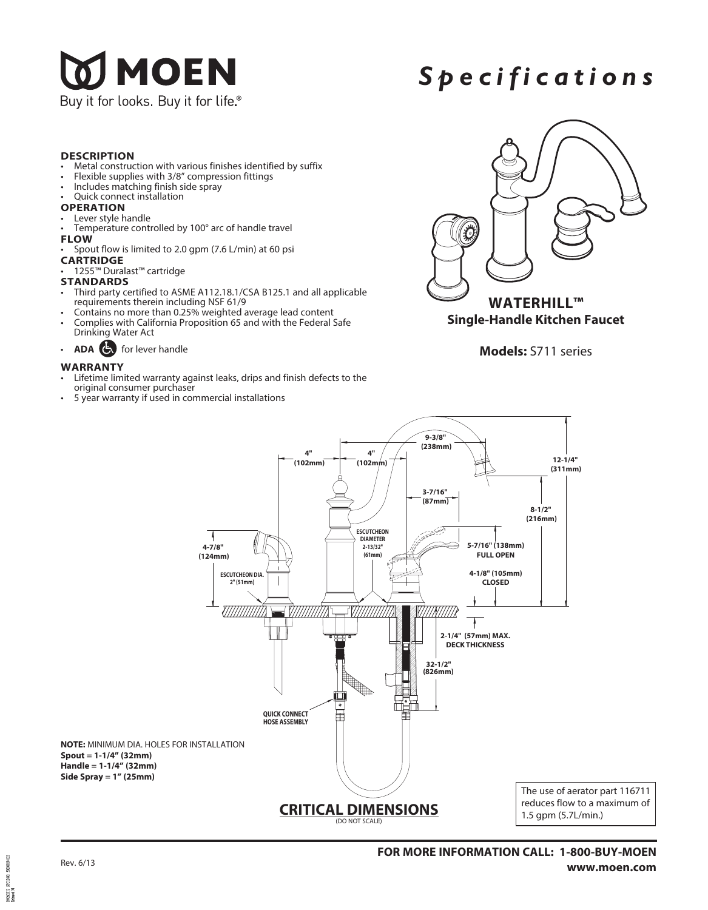

# *Spec i f i c a tions*

#### **DESCRIPTION**

- Metal construction with various finishes identified by suffix
- Flexible supplies with 3/8" compression fittings
- Includes matching finish side spray
- Quick connect installation

- **OPERATION**<br>• Lever style handle
- Temperature controlled by 100° arc of handle travel
- **FLOW**
- Spout flow is limited to 2.0 gpm (7.6 L/min) at 60 psi
- **CARTRIDGE**
- 1255™ Duralast™ cartridge

#### **STANDARDS**

- Third party certified to ASME A112.18.1/CSA B125.1 and all applicable requirements therein including NSF 61/9
- 
- Contains no more than 0.25% weighted average lead content Complies with California Proposition 65 and with the Federal Safe Drinking Water Act
- **ADA** for lever handle

#### **WARRANTY**

- Lifetime limited warranty against leaks, drips and finish defects to the original consumer purchaser
- 5 year warranty if used in commercial installations



**Models:** S711 series



2000029412  $STIM2$ 2016/2017<br>Referand 04